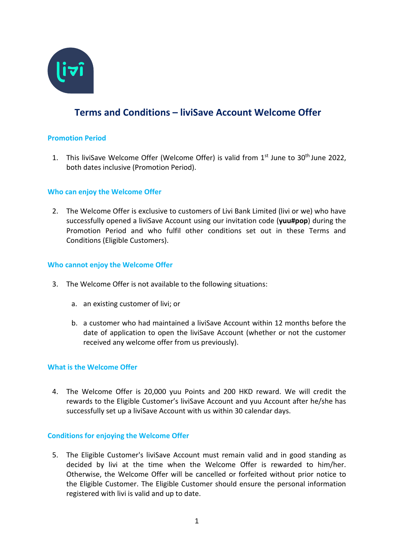

# **Terms and Conditions – liviSave Account Welcome Offer**

## **Promotion Period**

1. This liviSave Welcome Offer (Welcome Offer) is valid from  $1<sup>st</sup>$  June to  $30<sup>th</sup>$  June 2022, both dates inclusive (Promotion Period).

## **Who can enjoy the Welcome Offer**

2. The Welcome Offer is exclusive to customers of Livi Bank Limited (livi or we) who have successfully opened a liviSave Account using our invitation code (**yuu#pop**) during the Promotion Period and who fulfil other conditions set out in these Terms and Conditions (Eligible Customers).

#### **Who cannot enjoy the Welcome Offer**

- 3. The Welcome Offer is not available to the following situations:
	- a. an existing customer of livi; or
	- b. a customer who had maintained a liviSave Account within 12 months before the date of application to open the liviSave Account (whether or not the customer received any welcome offer from us previously).

#### **What is the Welcome Offer**

4. The Welcome Offer is 20,000 yuu Points and 200 HKD reward. We will credit the rewards to the Eligible Customer's liviSave Account and yuu Account after he/she has successfully set up a liviSave Account with us within 30 calendar days.

#### **Conditions for enjoying the Welcome Offer**

5. The Eligible Customer's liviSave Account must remain valid and in good standing as decided by livi at the time when the Welcome Offer is rewarded to him/her. Otherwise, the Welcome Offer will be cancelled or forfeited without prior notice to the Eligible Customer. The Eligible Customer should ensure the personal information registered with livi is valid and up to date.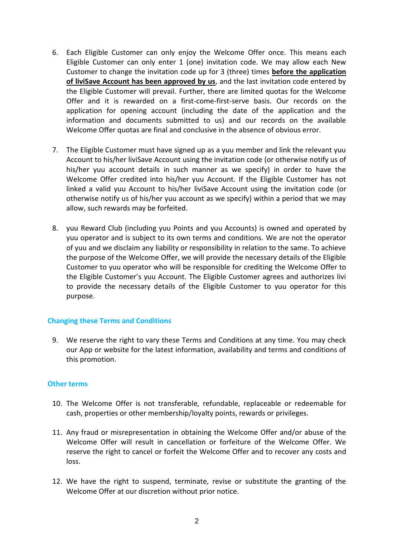- 6. Each Eligible Customer can only enjoy the Welcome Offer once. This means each Eligible Customer can only enter 1 (one) invitation code. We may allow each New Customer to change the invitation code up for 3 (three) times **before the application of liviSave Account has been approved by us**, and the last invitation code entered by the Eligible Customer will prevail. Further, there are limited quotas for the Welcome Offer and it is rewarded on a first-come-first-serve basis. Our records on the application for opening account (including the date of the application and the information and documents submitted to us) and our records on the available Welcome Offer quotas are final and conclusive in the absence of obvious error.
- 7. The Eligible Customer must have signed up as a yuu member and link the relevant yuu Account to his/her liviSave Account using the invitation code (or otherwise notify us of his/her yuu account details in such manner as we specify) in order to have the Welcome Offer credited into his/her yuu Account. If the Eligible Customer has not linked a valid yuu Account to his/her liviSave Account using the invitation code (or otherwise notify us of his/her yuu account as we specify) within a period that we may allow, such rewards may be forfeited.
- 8. yuu Reward Club (including yuu Points and yuu Accounts) is owned and operated by yuu operator and is subject to its own terms and conditions. We are not the operator of yuu and we disclaim any liability or responsibility in relation to the same. To achieve the purpose of the Welcome Offer, we will provide the necessary details of the Eligible Customer to yuu operator who will be responsible for crediting the Welcome Offer to the Eligible Customer's yuu Account. The Eligible Customer agrees and authorizes livi to provide the necessary details of the Eligible Customer to yuu operator for this purpose.

#### **Changing these Terms and Conditions**

9. We reserve the right to vary these Terms and Conditions at any time. You may check our App or website for the latest information, availability and terms and conditions of this promotion.

#### **Other terms**

- 10. The Welcome Offer is not transferable, refundable, replaceable or redeemable for cash, properties or other membership/loyalty points, rewards or privileges.
- 11. Any fraud or misrepresentation in obtaining the Welcome Offer and/or abuse of the Welcome Offer will result in cancellation or forfeiture of the Welcome Offer. We reserve the right to cancel or forfeit the Welcome Offer and to recover any costs and loss.
- 12. We have the right to suspend, terminate, revise or substitute the granting of the Welcome Offer at our discretion without prior notice.